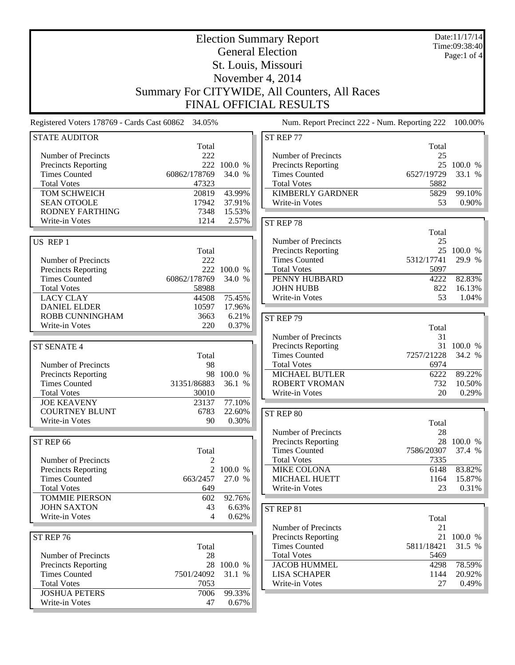| <b>Election Summary Report</b>                                                 |                       |                  |                                               |                    | Date:11/17/14<br>Time:09:38:40 |  |  |
|--------------------------------------------------------------------------------|-----------------------|------------------|-----------------------------------------------|--------------------|--------------------------------|--|--|
|                                                                                |                       |                  | <b>General Election</b>                       |                    | Page:1 of 4                    |  |  |
|                                                                                |                       |                  | St. Louis, Missouri                           |                    |                                |  |  |
|                                                                                |                       |                  | November 4, 2014                              |                    |                                |  |  |
|                                                                                |                       |                  |                                               |                    |                                |  |  |
| Summary For CITYWIDE, All Counters, All Races<br><b>FINAL OFFICIAL RESULTS</b> |                       |                  |                                               |                    |                                |  |  |
| Registered Voters 178769 - Cards Cast 60862 34.05%                             |                       |                  | Num. Report Precinct 222 - Num. Reporting 222 |                    | 100.00%                        |  |  |
| <b>STATE AUDITOR</b>                                                           |                       |                  | ST REP 77                                     |                    |                                |  |  |
|                                                                                | Total                 |                  |                                               | Total              |                                |  |  |
| Number of Precincts                                                            | 222                   |                  | Number of Precincts                           | 25                 |                                |  |  |
| Precincts Reporting                                                            | 222                   | 100.0 %          | <b>Precincts Reporting</b>                    |                    | 25 100.0 %                     |  |  |
| <b>Times Counted</b><br><b>Total Votes</b>                                     | 60862/178769<br>47323 | 34.0 %           | <b>Times Counted</b><br><b>Total Votes</b>    | 6527/19729<br>5882 | 33.1 %                         |  |  |
| TOM SCHWEICH                                                                   | 20819                 | 43.99%           | <b>KIMBERLY GARDNER</b>                       | 5829               | 99.10%                         |  |  |
| <b>SEAN OTOOLE</b>                                                             | 17942                 | 37.91%           | Write-in Votes                                | 53                 | 0.90%                          |  |  |
| RODNEY FARTHING                                                                | 7348                  | 15.53%           |                                               |                    |                                |  |  |
| Write-in Votes                                                                 | 1214                  | 2.57%            | ST REP 78                                     |                    |                                |  |  |
|                                                                                |                       |                  |                                               | Total              |                                |  |  |
| US REP 1                                                                       |                       |                  | Number of Precincts                           | 25                 |                                |  |  |
|                                                                                | Total                 |                  | Precincts Reporting                           |                    | 25 100.0 %                     |  |  |
| Number of Precincts                                                            | 222                   |                  | <b>Times Counted</b>                          | 5312/17741         | 29.9 %                         |  |  |
| Precincts Reporting                                                            |                       | 222 100.0 %      | <b>Total Votes</b>                            | 5097               |                                |  |  |
| <b>Times Counted</b>                                                           | 60862/178769          | 34.0 %           | PENNY HUBBARD                                 | 4222               | 82.83%                         |  |  |
| <b>Total Votes</b>                                                             | 58988                 |                  | <b>JOHN HUBB</b>                              | 822                | 16.13%                         |  |  |
| <b>LACY CLAY</b><br><b>DANIEL ELDER</b>                                        | 44508<br>10597        | 75.45%<br>17.96% | Write-in Votes                                | 53                 | 1.04%                          |  |  |
| ROBB CUNNINGHAM                                                                | 3663                  | 6.21%            |                                               |                    |                                |  |  |
| Write-in Votes                                                                 | 220                   | 0.37%            | ST REP 79                                     | Total              |                                |  |  |
|                                                                                |                       |                  | Number of Precincts                           | 31                 |                                |  |  |
| <b>ST SENATE 4</b>                                                             |                       |                  | <b>Precincts Reporting</b>                    |                    | 31 100.0 %                     |  |  |
|                                                                                | Total                 |                  | <b>Times Counted</b>                          | 7257/21228         | 34.2 %                         |  |  |
| Number of Precincts                                                            | 98                    |                  | <b>Total Votes</b>                            | 6974               |                                |  |  |
| <b>Precincts Reporting</b>                                                     |                       | 98 100.0 %       | MICHAEL BUTLER                                | 6222               | 89.22%                         |  |  |
| <b>Times Counted</b>                                                           | 31351/86883           | 36.1 %           | <b>ROBERT VROMAN</b>                          | 732                | 10.50%                         |  |  |
| <b>Total Votes</b>                                                             | 30010                 |                  | Write-in Votes                                | 20                 | 0.29%                          |  |  |
| <b>JOE KEAVENY</b><br><b>COURTNEY BLUNT</b>                                    | 23137                 | 77.10%           |                                               |                    |                                |  |  |
| Write-in Votes                                                                 | 6783<br>90            | 22.60%<br>0.30%  | ST REP 80                                     |                    |                                |  |  |
|                                                                                |                       |                  |                                               | Total              |                                |  |  |
| ST REP 66                                                                      |                       |                  | Number of Precincts<br>Precincts Reporting    | 28                 | 28 100.0 %                     |  |  |
|                                                                                | Total                 |                  | <b>Times Counted</b>                          | 7586/20307         | 37.4 %                         |  |  |
| Number of Precincts                                                            | 2                     |                  | <b>Total Votes</b>                            | 7335               |                                |  |  |
| <b>Precincts Reporting</b>                                                     | 2                     | 100.0 %          | MIKE COLONA                                   | 6148               | 83.82%                         |  |  |
| <b>Times Counted</b>                                                           | 663/2457              | 27.0 %           | MICHAEL HUETT                                 | 1164               | 15.87%                         |  |  |
| <b>Total Votes</b>                                                             | 649                   |                  | Write-in Votes                                | 23                 | 0.31%                          |  |  |
| <b>TOMMIE PIERSON</b>                                                          | 602                   | 92.76%           |                                               |                    |                                |  |  |
| <b>JOHN SAXTON</b>                                                             | 43                    | 6.63%            | ST REP 81                                     |                    |                                |  |  |
| Write-in Votes                                                                 | 4                     | 0.62%            |                                               | Total              |                                |  |  |
|                                                                                |                       |                  | Number of Precincts                           | 21                 |                                |  |  |
| ST REP 76                                                                      |                       |                  | <b>Precincts Reporting</b>                    |                    | 21 100.0 %                     |  |  |
|                                                                                | Total                 |                  | <b>Times Counted</b><br><b>Total Votes</b>    | 5811/18421<br>5469 | 31.5 %                         |  |  |
|                                                                                |                       |                  |                                               |                    |                                |  |  |
| Number of Precincts                                                            | 28                    |                  |                                               |                    |                                |  |  |
| <b>Precincts Reporting</b><br><b>Times Counted</b>                             | 7501/24092            | 28 100.0 %       | <b>JACOB HUMMEL</b><br><b>LISA SCHAPER</b>    | 4298               | 78.59%                         |  |  |
| <b>Total Votes</b>                                                             | 7053                  | 31.1 %           | Write-in Votes                                | 1144<br>27         | 20.92%<br>0.49%                |  |  |
| <b>JOSHUA PETERS</b>                                                           | 7006                  | 99.33%           |                                               |                    |                                |  |  |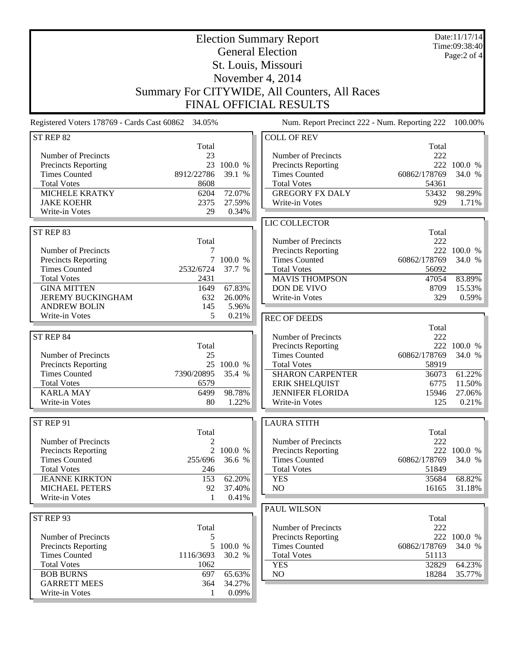| <b>Election Summary Report</b><br><b>General Election</b><br>St. Louis, Missouri                                                                                                      |                                                                  |                                                   |                                                                                                                                                                                           |                                                                        | Date:11/17/14<br>Time:09:38:40<br>Page:2 of 4                |  |
|---------------------------------------------------------------------------------------------------------------------------------------------------------------------------------------|------------------------------------------------------------------|---------------------------------------------------|-------------------------------------------------------------------------------------------------------------------------------------------------------------------------------------------|------------------------------------------------------------------------|--------------------------------------------------------------|--|
| November 4, 2014<br>Summary For CITYWIDE, All Counters, All Races<br><b>FINAL OFFICIAL RESULTS</b>                                                                                    |                                                                  |                                                   |                                                                                                                                                                                           |                                                                        |                                                              |  |
| Registered Voters 178769 - Cards Cast 60862 34.05%                                                                                                                                    |                                                                  |                                                   | Num. Report Precinct 222 - Num. Reporting 222                                                                                                                                             |                                                                        | 100.00%                                                      |  |
| ST REP 82                                                                                                                                                                             | Total                                                            |                                                   | <b>COLL OF REV</b>                                                                                                                                                                        | Total                                                                  |                                                              |  |
| Number of Precincts<br><b>Precincts Reporting</b><br><b>Times Counted</b><br><b>Total Votes</b><br><b>MICHELE KRATKY</b><br><b>JAKE KOEHR</b><br>Write-in Votes                       | 23<br>8912/22786<br>8608<br>6204<br>2375<br>29                   | 23 100.0 %<br>39.1 %<br>72.07%<br>27.59%<br>0.34% | Number of Precincts<br>Precincts Reporting<br><b>Times Counted</b><br><b>Total Votes</b><br><b>GREGORY FX DALY</b><br>Write-in Votes                                                      | 222<br>60862/178769<br>54361<br>53432<br>929                           | 222 100.0 %<br>34.0 %<br>98.29%<br>1.71%                     |  |
|                                                                                                                                                                                       |                                                                  |                                                   | LIC COLLECTOR                                                                                                                                                                             |                                                                        |                                                              |  |
| ST REP 83<br>Number of Precincts<br><b>Precincts Reporting</b><br><b>Times Counted</b><br><b>Total Votes</b><br><b>GINA MITTEN</b><br><b>JEREMY BUCKINGHAM</b><br><b>ANDREW BOLIN</b> | Total<br>7<br>2532/6724<br>2431<br>1649<br>632<br>145            | 7 100.0 %<br>37.7 %<br>67.83%<br>26.00%<br>5.96%  | Number of Precincts<br>Precincts Reporting<br><b>Times Counted</b><br><b>Total Votes</b><br><b>MAVIS THOMPSON</b><br>DON DE VIVO<br>Write-in Votes                                        | Total<br>222<br>60862/178769<br>56092<br>47054<br>8709<br>329          | 222 100.0 %<br>34.0 %<br>83.89%<br>15.53%<br>$0.59\%$        |  |
| Write-in Votes                                                                                                                                                                        | 5                                                                | 0.21%                                             | <b>REC OF DEEDS</b>                                                                                                                                                                       |                                                                        |                                                              |  |
| ST REP 84<br>Number of Precincts<br>Precincts Reporting<br><b>Times Counted</b><br><b>Total Votes</b><br><b>KARLA MAY</b><br>Write-in Votes                                           | Total<br>25<br>25<br>7390/20895<br>6579<br>6499<br>80            | 100.0 %<br>35.4 %<br>98.78%<br>1.22%              | Number of Precincts<br>Precincts Reporting<br><b>Times Counted</b><br><b>Total Votes</b><br><b>SHARON CARPENTER</b><br><b>ERIK SHELQUIST</b><br><b>JENNIFER FLORIDA</b><br>Write-in Votes | Total<br>222<br>60862/178769<br>58919<br>36073<br>6775<br>15946<br>125 | 222 100.0 %<br>34.0 %<br>61.22%<br>11.50%<br>27.06%<br>0.21% |  |
| ST REP 91                                                                                                                                                                             |                                                                  |                                                   | <b>LAURA STITH</b>                                                                                                                                                                        |                                                                        |                                                              |  |
| Number of Precincts<br><b>Precincts Reporting</b><br><b>Times Counted</b><br><b>Total Votes</b><br><b>JEANNE KIRKTON</b><br><b>MICHAEL PETERS</b><br>Write-in Votes                   | Total<br>2<br>$\overline{2}$<br>255/696<br>246<br>153<br>92<br>1 | 100.0 %<br>36.6 %<br>62.20%<br>37.40%<br>0.41%    | Number of Precincts<br><b>Precincts Reporting</b><br><b>Times Counted</b><br><b>Total Votes</b><br><b>YES</b><br>NO                                                                       | Total<br>222<br>222<br>60862/178769<br>51849<br>35684<br>16165         | 100.0 %<br>34.0 %<br>68.82%<br>31.18%                        |  |
| ST REP 93                                                                                                                                                                             |                                                                  |                                                   | PAUL WILSON                                                                                                                                                                               | Total                                                                  |                                                              |  |
| Number of Precincts<br><b>Precincts Reporting</b><br><b>Times Counted</b><br><b>Total Votes</b><br><b>BOB BURNS</b>                                                                   | Total<br>5<br>5<br>1116/3693<br>1062<br>697                      | 100.0 %<br>30.2 %<br>65.63%                       | Number of Precincts<br>Precincts Reporting<br><b>Times Counted</b><br><b>Total Votes</b><br><b>YES</b><br>NO                                                                              | 222<br>60862/178769<br>51113<br>32829<br>18284                         | 222 100.0 %<br>34.0 %<br>64.23%<br>35.77%                    |  |
| <b>GARRETT MEES</b><br>Write-in Votes                                                                                                                                                 | 364<br>1                                                         | 34.27%<br>0.09%                                   |                                                                                                                                                                                           |                                                                        |                                                              |  |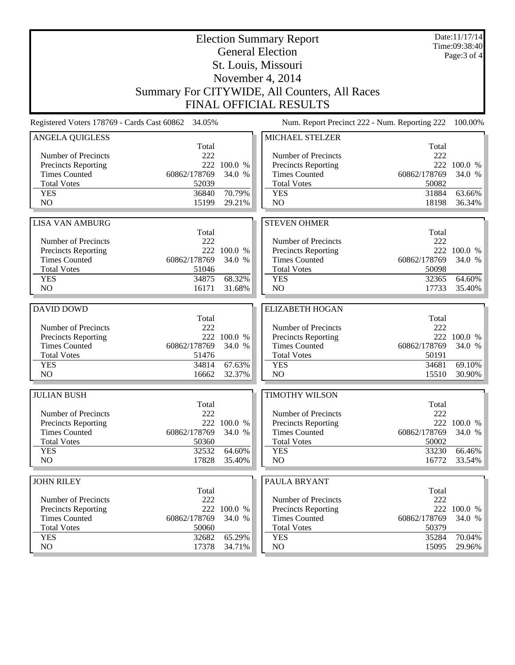| <b>Election Summary Report</b><br><b>General Election</b> |                |             |                                               | Date:11/17/14<br>Time:09:38:40<br>Page: 3 of 4 |             |  |
|-----------------------------------------------------------|----------------|-------------|-----------------------------------------------|------------------------------------------------|-------------|--|
| St. Louis, Missouri                                       |                |             |                                               |                                                |             |  |
| November 4, 2014                                          |                |             |                                               |                                                |             |  |
| Summary For CITYWIDE, All Counters, All Races             |                |             |                                               |                                                |             |  |
| <b>FINAL OFFICIAL RESULTS</b>                             |                |             |                                               |                                                |             |  |
| Registered Voters 178769 - Cards Cast 60862 34.05%        |                |             | Num. Report Precinct 222 - Num. Reporting 222 |                                                | 100.00%     |  |
| ANGELA QUIGLESS                                           | Total          |             | MICHAEL STELZER                               | Total                                          |             |  |
| Number of Precincts                                       | 222            |             | Number of Precincts                           | 222                                            |             |  |
| <b>Precincts Reporting</b>                                | 222            | 100.0 %     | Precincts Reporting                           | 222                                            | 100.0 %     |  |
| <b>Times Counted</b>                                      | 60862/178769   | 34.0 %      | <b>Times Counted</b>                          | 60862/178769                                   | 34.0 %      |  |
| <b>Total Votes</b>                                        | 52039          |             | <b>Total Votes</b>                            | 50082                                          |             |  |
| <b>YES</b>                                                | 36840          | 70.79%      | <b>YES</b>                                    | 31884                                          | 63.66%      |  |
| N <sub>O</sub>                                            | 15199          | 29.21%      | N <sub>O</sub>                                | 18198                                          | 36.34%      |  |
| <b>LISA VAN AMBURG</b>                                    |                |             | <b>STEVEN OHMER</b>                           |                                                |             |  |
|                                                           | Total          |             |                                               | Total                                          |             |  |
| Number of Precincts                                       | 222            |             | Number of Precincts                           | 222                                            |             |  |
| Precincts Reporting                                       |                | 222 100.0 % | Precincts Reporting                           |                                                | 222 100.0 % |  |
| <b>Times Counted</b>                                      | 60862/178769   | 34.0 %      | <b>Times Counted</b>                          | 60862/178769                                   | 34.0 %      |  |
| <b>Total Votes</b><br><b>YES</b>                          | 51046<br>34875 | 68.32%      | <b>Total Votes</b><br><b>YES</b>              | 50098<br>32365                                 | 64.60%      |  |
| N <sub>O</sub>                                            | 16171          | 31.68%      | N <sub>O</sub>                                | 17733                                          | 35.40%      |  |
|                                                           |                |             |                                               |                                                |             |  |
| <b>DAVID DOWD</b>                                         |                |             | <b>ELIZABETH HOGAN</b>                        |                                                |             |  |
| Number of Precincts                                       | Total<br>222   |             | Number of Precincts                           | Total<br>222                                   |             |  |
| Precincts Reporting                                       |                | 222 100.0 % | Precincts Reporting                           |                                                | 222 100.0 % |  |
| <b>Times Counted</b>                                      | 60862/178769   | 34.0 %      | <b>Times Counted</b>                          | 60862/178769                                   | 34.0 %      |  |
| <b>Total Votes</b>                                        | 51476          |             | <b>Total Votes</b>                            | 50191                                          |             |  |
| <b>YES</b>                                                | 34814          | 67.63%      | <b>YES</b>                                    | 34681                                          | 69.10%      |  |
| NO                                                        | 16662          | 32.37%      | NO                                            | 15510                                          | 30.90%      |  |
| <b>JULIAN BUSH</b>                                        |                |             | <b>TIMOTHY WILSON</b>                         |                                                |             |  |
|                                                           | Total          |             |                                               | Total                                          |             |  |
| Number of Precincts<br><b>Precincts Reporting</b>         | 222<br>222     | 100.0 %     | Number of Precincts<br>Precincts Reporting    | 222<br>222                                     | 100.0 %     |  |
| <b>Times Counted</b>                                      | 60862/178769   | 34.0 %      | <b>Times Counted</b>                          | 60862/178769                                   | 34.0 %      |  |
| <b>Total Votes</b>                                        | 50360          |             | <b>Total Votes</b>                            | 50002                                          |             |  |
| <b>YES</b>                                                | 32532          | 64.60%      | <b>YES</b>                                    | 33230                                          | 66.46%      |  |
| NO                                                        | 17828          | 35.40%      | NO                                            | 16772                                          | 33.54%      |  |
| <b>JOHN RILEY</b>                                         |                |             | PAULA BRYANT                                  |                                                |             |  |
|                                                           | Total          |             |                                               | Total                                          |             |  |
| Number of Precincts                                       | 222            |             | Number of Precincts                           | 222                                            |             |  |
| <b>Precincts Reporting</b>                                |                | 222 100.0 % | <b>Precincts Reporting</b>                    |                                                | 222 100.0 % |  |
| <b>Times Counted</b>                                      | 60862/178769   | 34.0 %      | <b>Times Counted</b>                          | 60862/178769                                   | 34.0 %      |  |
| <b>Total Votes</b>                                        | 50060          |             | <b>Total Votes</b>                            | 50379                                          |             |  |
| <b>YES</b><br>NO                                          | 32682<br>17378 | 65.29%      | <b>YES</b><br>NO                              | 35284                                          | 70.04%      |  |
|                                                           |                | 34.71%      |                                               | 15095                                          | 29.96%      |  |